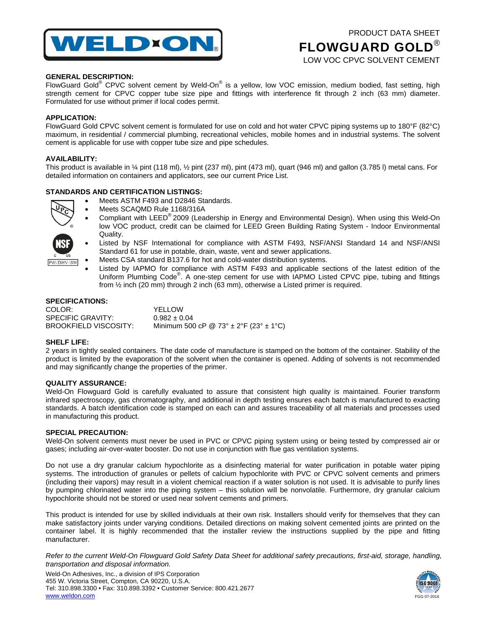

# PRODUCT DATA SHEET FLOWGUARD GOLD® LOW VOC CPVC SOLVENT CEMENT

## **GENERAL DESCRIPTION:**

FlowGuard Gold® CPVC solvent cement by Weld-On® is a yellow, low VOC emission, medium bodied, fast setting, high strength cement for CPVC copper tube size pipe and fittings with interference fit through 2 inch (63 mm) diameter. Formulated for use without primer if local codes permit.

#### **APPLICATION:**

FlowGuard Gold CPVC solvent cement is formulated for use on cold and hot water CPVC piping systems up to 180°F (82°C) maximum, in residential / commercial plumbing, recreational vehicles, mobile homes and in industrial systems. The solvent cement is applicable for use with copper tube size and pipe schedules.

#### **AVAILABILITY:**

This product is available in ¼ pint (118 ml), ½ pint (237 ml), pint (473 ml), quart (946 ml) and gallon (3.785 l) metal cans. For detailed information on containers and applicators, see our current Price List.

### **STANDARDS AND CERTIFICATION LISTINGS:**



**PW/DWV/SW** 

- Meets ASTM F493 and D2846 Standards.
- Meets SCAQMD Rule 1168/316A
- Compliant with LEED® 2009 (Leadership in Energy and Environmental Design). When using this Weld-On low VOC product, credit can be claimed for LEED Green Building Rating System - Indoor Environmental Quality.
- Listed by NSF International for compliance with ASTM F493, NSF/ANSI Standard 14 and NSF/ANSI Standard 61 for use in potable, drain, waste, vent and sewer applications.
- Meets CSA standard B137.6 for hot and cold-water distribution systems.
- Listed by IAPMO for compliance with ASTM F493 and applicable sections of the latest edition of the Uniform Plumbing Code<sup>®</sup>. A one-step cement for use with IAPMO Listed CPVC pipe, tubing and fittings from ½ inch (20 mm) through 2 inch (63 mm), otherwise a Listed primer is required.

#### **SPECIFICATIONS:**

| COLOR:                | YELLOW                                         |
|-----------------------|------------------------------------------------|
| SPECIFIC GRAVITY:     | $0.982 \pm 0.04$                               |
| BROOKFIELD VISCOSITY: | Minimum 500 cP @ 73° $\pm$ 2°F (23° $\pm$ 1°C) |

#### **SHELF LIFE:**

2 years in tightly sealed containers. The date code of manufacture is stamped on the bottom of the container. Stability of the product is limited by the evaporation of the solvent when the container is opened. Adding of solvents is not recommended and may significantly change the properties of the primer.

# **QUALITY ASSURANCE:**

Weld-On Flowguard Gold is carefully evaluated to assure that consistent high quality is maintained. Fourier transform infrared spectroscopy, gas chromatography, and additional in depth testing ensures each batch is manufactured to exacting standards. A batch identification code is stamped on each can and assures traceability of all materials and processes used in manufacturing this product.

#### **SPECIAL PRECAUTION:**

Weld-On solvent cements must never be used in PVC or CPVC piping system using or being tested by compressed air or gases; including air-over-water booster. Do not use in conjunction with flue gas ventilation systems.

Do not use a dry granular calcium hypochlorite as a disinfecting material for water purification in potable water piping systems. The introduction of granules or pellets of calcium hypochlorite with PVC or CPVC solvent cements and primers (including their vapors) may result in a violent chemical reaction if a water solution is not used. It is advisable to purify lines by pumping chlorinated water into the piping system – this solution will be nonvolatile. Furthermore, dry granular calcium hypochlorite should not be stored or used near solvent cements and primers.

This product is intended for use by skilled individuals at their own risk. Installers should verify for themselves that they can make satisfactory joints under varying conditions. Detailed directions on making solvent cemented joints are printed on the container label. It is highly recommended that the installer review the instructions supplied by the pipe and fitting manufacturer.

*Refer to the current Weld-On Flowguard Gold Safety Data Sheet for additional safety precautions, first-aid, storage, handling, transportation and disposal information.*